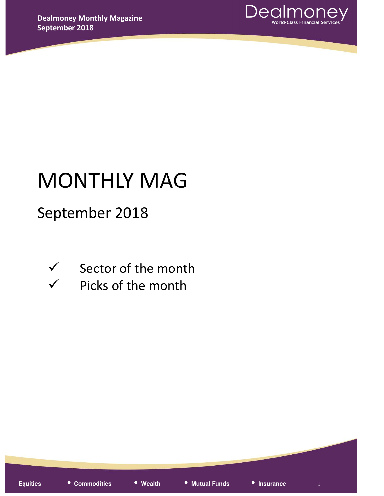

# MONTHLY MAG

# September 2018

- 
- $\checkmark$  Sector of the month
- $\checkmark$  Picks of the month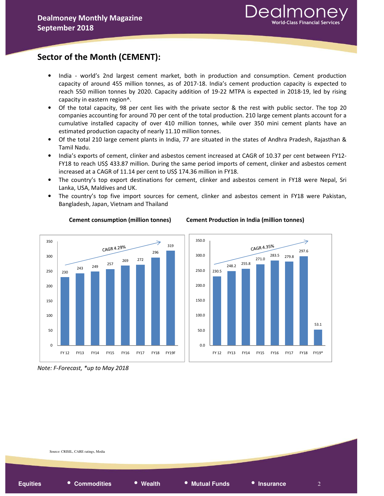# Sector of the Month (CEMENT):

- India world's 2nd largest cement market, both in production and consumption. Cement production capacity of around 455 million tonnes, as of 2017-18. India's cement production capacity is expected to reach 550 million tonnes by 2020. Capacity addition of 19-22 MTPA is expected in 2018-19, led by rising capacity in eastern region^.
- Of the total capacity, 98 per cent lies with the private sector & the rest with public sector. The top 20 companies accounting for around 70 per cent of the total production. 210 large cement plants account for a cumulative installed capacity of over 410 million tonnes, while over 350 mini cement plants have an estimated production capacity of nearly 11.10 million tonnes.
- Of the total 210 large cement plants in India, 77 are situated in the states of Andhra Pradesh, Rajasthan & Tamil Nadu.
- India's exports of cement, clinker and asbestos cement increased at CAGR of 10.37 per cent between FY12- FY18 to reach US\$ 433.87 million. During the same period imports of cement, clinker and asbestos cement increased at a CAGR of 11.14 per cent to US\$ 174.36 million in FY18.
- The country's top export destinations for cement, clinker and asbestos cement in FY18 were Nepal, Sri Lanka, USA, Maldives and UK.
- The country's top five import sources for cement, clinker and asbestos cement in FY18 were Pakistan, Bangladesh, Japan, Vietnam and Thailand



Cement consumption (million tonnes) Cement Production in India (million tonnes)



Note: F-Forecast, \*up to May 2018

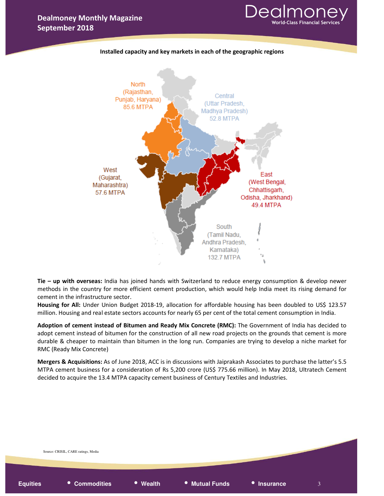





Tie – up with overseas: India has joined hands with Switzerland to reduce energy consumption & develop newer methods in the country for more efficient cement production, which would help India meet its rising demand for cement in the infrastructure sector.

Housing for All: Under Union Budget 2018-19, allocation for affordable housing has been doubled to US\$ 123.57 million. Housing and real estate sectors accounts for nearly 65 per cent of the total cement consumption in India.

Adoption of cement instead of Bitumen and Ready Mix Concrete (RMC): The Government of India has decided to adopt cement instead of bitumen for the construction of all new road projects on the grounds that cement is more durable & cheaper to maintain than bitumen in the long run. Companies are trying to develop a niche market for RMC (Ready Mix Concrete)

Mergers & Acquisitions: As of June 2018, ACC is in discussions with Jaiprakash Associates to purchase the latter's 5.5 MTPA cement business for a consideration of Rs 5,200 crore (US\$ 775.66 million). In May 2018, Ultratech Cement decided to acquire the 13.4 MTPA capacity cement business of Century Textiles and Industries.

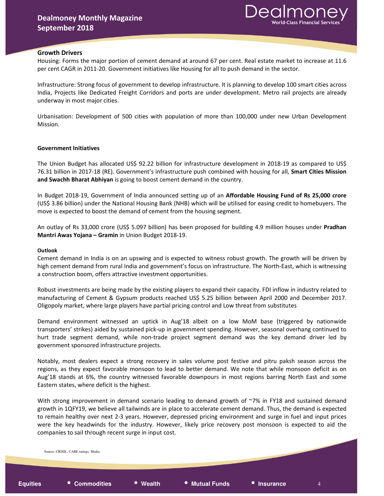### Growth Drivers

Housing: Forms the major portion of cement demand at around 67 per cent. Real estate market to increase at 11.6 per cent CAGR in 2011-20. Government initiatives like Housing for all to push demand in the sector.

Infrastructure: Strong focus of government to develop infrastructure. It is planning to develop 100 smart cities across India, Projects like Dedicated Freight Corridors and ports are under development. Metro rail projects are already underway in most major cities.

Urbanisation: Development of 500 cities with population of more than 100,000 under new Urban Development Mission.

### Government Initiatives

The Union Budget has allocated US\$ 92.22 billion for infrastructure development in 2018-19 as compared to US\$ 76.31 billion in 2017-18 (RE). Government's infrastructure push combined with housing for all, Smart Cities Mission and Swachh Bharat Abhiyan is going to boost cement demand in the country.

In Budget 2018-19, Government of India announced setting up of an Affordable Housing Fund of Rs 25,000 crore (US\$ 3.86 billion) under the National Housing Bank (NHB) which will be utilised for easing credit to homebuyers. The move is expected to boost the demand of cement from the housing segment.

An outlay of Rs 33,000 crore (US\$ 5.097 billion) has been proposed for building 4.9 million houses under Pradhan Mantri Awas Yojana – Gramin in Union Budget 2018-19.

### Outlook

Cement demand in India is on an upswing and is expected to witness robust growth. The growth will be driven by high cement demand from rural India and government's focus on infrastructure. The North-East, which is witnessing a construction boom, offers attractive investment opportunities.

Robust investments are being made by the existing players to expand their capacity. FDI inflow in industry related to manufacturing of Cement & Gypsum products reached US\$ 5.25 billion between April 2000 and December 2017. Oligopoly market, where large players have partial pricing control and Low threat from substitutes

Demand environment witnessed an uptick in Aug'18 albeit on a low MoM base (triggered by nationwide transporters' strikes) aided by sustained pick-up in government spending. However, seasonal overhang continued to hurt trade segment demand, while non-trade project segment demand was the key demand driver led by government sponsored infrastructure projects.

Notably, most dealers expect a strong recovery in sales volume post festive and pitru paksh season across the regions, as they expect favorable monsoon to lead to better demand. We note that while monsoon deficit as on Aug'18 stands at 6%, the country witnessed favorable downpours in most regions barring North East and some Eastern states, where deficit is the highest.

With strong improvement in demand scenario leading to demand growth of ~7% in FY18 and sustained demand growth in 1QFY19, we believe all tailwinds are in place to accelerate cement demand. Thus, the demand is expected to remain healthy over next 2-3 years. However, depressed pricing environment and surge in fuel and input prices were the key headwinds for the industry. However, likely price recovery post monsoon is expected to aid the companies to sail through recent surge in input cost.

• **Equities** • **Commodities** • **Wealth** • **Mutual Funds** • **Insurance** <sup>4</sup> Source: CRISIL, CARE ratings, Media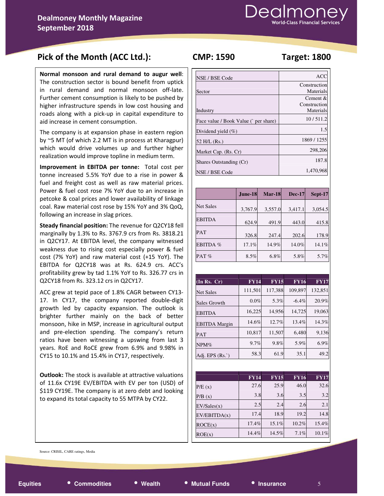# Pick of the Month (ACC Ltd.): CMP: 1590 Target: 1800

Normal monsoon and rural demand to augur well: The construction sector is bound benefit from uptick in rural demand and normal monsoon off-late. Further cement consumption is likely to be pushed by higher infrastructure spends in low cost housing and roads along with a pick-up in capital expenditure to aid increase in cement consumption.

The company is at expansion phase in eastern region by ~5 MT (of which 2.2 MT is in process at Kharagpur) which would drive volumes up and further higher realization would improve topline in medium term.

Improvement in EBITDA per tonne: Total cost per tonne increased 5.5% YoY due to a rise in power & fuel and freight cost as well as raw material prices. Power & fuel cost rose 7% YoY due to an increase in petcoke & coal prices and lower availability of linkage coal. Raw material cost rose by 15% YoY and 3% QoQ, following an increase in slag prices.

Steady financial position: The revenue for Q2CY18 fell marginally by 1.3% to Rs. 3767.9 crs from Rs. 3818.21 in Q2CY17. At EBITDA level, the company witnessed weakness due to rising cost especially power & fuel cost (7% YoY) and raw material cost (+15 YoY). The EBITDA for Q2CY18 was at Rs. 624.9 crs. ACC's profitability grew by tad 1.1% YoY to Rs. 326.77 crs in Q2CY18 from Rs. 323.12 crs in Q2CY17.

ACC grew at tepid pace of 1.8% CAGR between CY13- 17. In CY17, the company reported double-digit growth led by capacity expansion. The outlook is brighter further mainly on the back of better monsoon, hike in MSP, increase in agricultural output and pre-election spending. The company's return ratios have been witnessing a upswing from last 3 years. RoE and RoCE grew from 6.9% and 9.98% in CY15 to 10.1% and 15.4% in CY17, respectively.

Outlook: The stock is available at attractive valuations of 11.6x CY19E EV/EBITDA with EV per ton (USD) of \$119 CY19E. The company is at zero debt and looking to expand its total capacity to 55 MTPA by CY22.

| NSE / BSE Code                       | <b>ACC</b>   |
|--------------------------------------|--------------|
|                                      | Construction |
| Sector                               | Materials    |
|                                      | Cement $\&$  |
|                                      | Construction |
| Industry                             | Materials    |
| Face value / Book Value (`per share) | 10/511.2     |
| Dividend yield $(\%)$                | 1.5          |
| 52 H/L (Rs.)                         | 1869/1255    |
| Market Cap. (Rs. Cr)                 | 298,206      |
| Shares Outstanding (Cr)              | 187.8        |
| NSE / BSE Code                       | 1,470,968    |

|                  | <b>June-18</b> | <b>Mar-18</b> | <b>Dec-17</b> | Sept-17 |
|------------------|----------------|---------------|---------------|---------|
| <b>Net Sales</b> | 3,767.9        | 3,557.0       | 3,417.1       | 3,054.5 |
| <b>EBITDA</b>    | 624.9          | 491.9         | 443.0         | 415.8   |
| <b>PAT</b>       | 326.8          | 247.4         | 202.6         | 178.9   |
| EBITDA %         | 17.1%          | 14.9%         | 14.0%         | 14.1%   |
| PAT $%$          | 8.5%           | 6.8%          | 5.8%          | 5.7%    |

| $(\overline{\ln} \text{Rs. } \overline{\text{Cr}})$ | <b>FY14</b> | <b>FY15</b> | <b>FY16</b> | <b>FY17</b> |
|-----------------------------------------------------|-------------|-------------|-------------|-------------|
| <b>Net Sales</b>                                    | 111,501     | 117,388     | 109,897     | 132,851     |
| Sales Growth                                        | $0.0\%$     | 5.3%        | $-6.4\%$    | 20.9%       |
| <b>EBITDA</b>                                       | 16,225      | 14,956      | 14,725      | 19,063      |
| <b>EBITDA</b> Margin                                | 14.6%       | 12.7%       | 13.4%       | 14.3%       |
| PAT                                                 | 10,817      | 11,507      | 6,480       | 9,136       |
| $NPM\%$                                             | 9.7%        | 9.8%        | 5.9%        | 6.9%        |
| Adj. EPS $(Rs^{\prime})$                            | 58.3        | 61.9        | 35.1        | 49.2        |

|              | <b>FY14</b> | <b>FY15</b> | <b>FY16</b> | <b>FY17</b> |
|--------------|-------------|-------------|-------------|-------------|
| P/E(x)       | 27.6        | 25.9        | 46.0        | 32.6        |
| P/B(x)       | 3.8         | 3.6         | 3.5         | 3.2         |
| EV/Sales(x)  | 2.5         | 2.4         | 2.6         | 2.1         |
| EV/EBITDA(x) | 17.4        | 18.9        | 19.2        | 14.8        |
| ROCE(x)      | 17.4%       | 15.1%       | 10.2%       | 15.4%       |
| ROE(x)       | 14.4%       | 14.5%       | 7.1%        | 10.1%       |

Source: CRISIL, CARE ratings, Media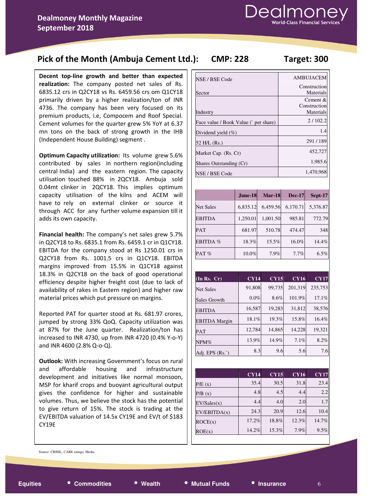# Pick of the Month (Ambuja Cement Ltd.): CMP: 228 Target: 300

Decent top-line growth and better than expected realization: The company posted net sales of Rs. 6835.12 crs in Q2CY18 vs Rs. 6459.56 crs om Q1CY18 primarily driven by a higher realization/ton of INR 4736. The company has been very focused on its premium products, i.e, Compocem and Roof Special. Cement volumes for the quarter grew 5% YoY at 6.37 mn tons on the back of strong growth in the IHB (Independent House Building) segment .

Optimum Capacity utilization: Its volume grew 5.6% contributed by sales in northern region(including central India) and the eastern region. The capacity utilisation touched 88% in 2QCY18. Ambuja sold 0.04mt clinker in 2QCY18. This implies optimum capacity utilisation of the kilns and ACEM will have to rely on external clinker or source it through ACC for any further volume expansion till it adds its own capacity.

Financial health: The company's net sales grew 5.7% in Q2CY18 to Rs. 6835.1 from Rs. 6459.1 cr in Q1CY18. EBITDA for the company stood at Rs 1250.01 crs in Q2CY18 from Rs. 1001.5 crs in Q1CY18. EBITDA margins improved from 15.5% in Q1CY18 against 18.3% in Q2CY18 on the back of good operational efficiency despite higher freight cost (due to lack of availability of rakes in Eastern region) and higher raw material prices which put pressure on margins.

Reported PAT for quarter stood at Rs. 681.97 crores, jumped by strong 33% QoQ. Capacity utilization was at 87% for the June quarter. Realization/ton has increased to INR 4730, up from INR 4720 (0.4% Y-o-Y) and INR 4600 (2.8% Q-o-Q).

Outlook: With increasing Government's focus on rural and affordable housing and infrastructure development and initiatives like normal monsoon, MSP for kharif crops and buoyant agricultural output gives the confidence for higher and sustainable volumes. Thus, we believe the stock has the potential to give return of 15%. The stock is trading at the EV/EBITDA valuation of 14.5x CY19E and EV/t of \$183 CY19E

| NSE / BSE Code                       | <b>AMBUJACEM</b>                      |
|--------------------------------------|---------------------------------------|
| Sector                               | Construction<br>Materials             |
| Industry                             | Cement &<br>Construction<br>Materials |
| Face value / Book Value (`per share) | 2/102.2                               |
| Dividend yield $(\%)$                | 1.4                                   |
| 52 H/L (Rs.)                         | 291/189                               |
| Market Cap. (Rs. Cr)                 | 452,727                               |
| Shares Outstanding (Cr)              | 1,985.6                               |
| NSE / BSE Code                       | 1,470,968                             |

|                  | June-18  | <b>Mar-18</b> | <b>Dec-17</b> | Sept-17  |
|------------------|----------|---------------|---------------|----------|
| <b>Net Sales</b> | 6,835.12 | 6,459.56      | 6,170.71      | 5,376.87 |
| <b>EBITDA</b>    | 1,250.01 | 1,001.50      | 985.81        | 772.79   |
| <b>PAT</b>       | 681.97   | 510.78        | 474.47        | 348      |
| EBITDA %         | 18.3%    | 15.5%         | 16.0%         | 14.4%    |
| PAT $%$          | 10.0%    | 7.9%          | 7.7%          | 6.5%     |

| (In Rs. Cr)              | CY14    | <b>CY15</b> | <b>CY16</b> | <b>CY17</b> |
|--------------------------|---------|-------------|-------------|-------------|
| <b>Net Sales</b>         | 91,808  | 99,735      | 201,319     | 235,753     |
| Sales Growth             | $0.0\%$ | 8.6%        | 101.9%      | 17.1%       |
| <b>EBITDA</b>            | 16,587  | 19,283      | 31,812      | 38,576      |
| <b>EBITDA</b> Margin     | 18.1%   | 19.3%       | 15.8%       | 16.4%       |
| PAT                      | 12,784  | 14,865      | 14,228      | 19,321      |
| $NPM\%$                  | 13.9%   | 14.9%       | 7.1%        | 8.2%        |
| Adj. EPS $(Rs^{\prime})$ | 8.3     | 9.6         | 5.6         | 7.6         |

|              | <b>CY14</b> | <b>CY15</b> | <b>CY16</b> | <b>CY17</b> |
|--------------|-------------|-------------|-------------|-------------|
| P/E(x)       | 35.4        | 30.5        | 31.8        | 23.4        |
| P/B(x)       | 4.8         | 4.5         | 4.4         | 2.2         |
| EV/Sales(x)  | 4.4         | 4.0         | 2.0         | 1.7         |
| EV/EBITDA(x) | 24.3        | 20.9        | 12.6        | 10.4        |
| ROCE(x)      | 17.2%       | 18.8%       | 12.3%       | 14.7%       |
| ROE(x)       | 14.2%       | 15.3%       | 7.9%        | 9.5%        |

Source: CRISIL, CARE ratings, Media